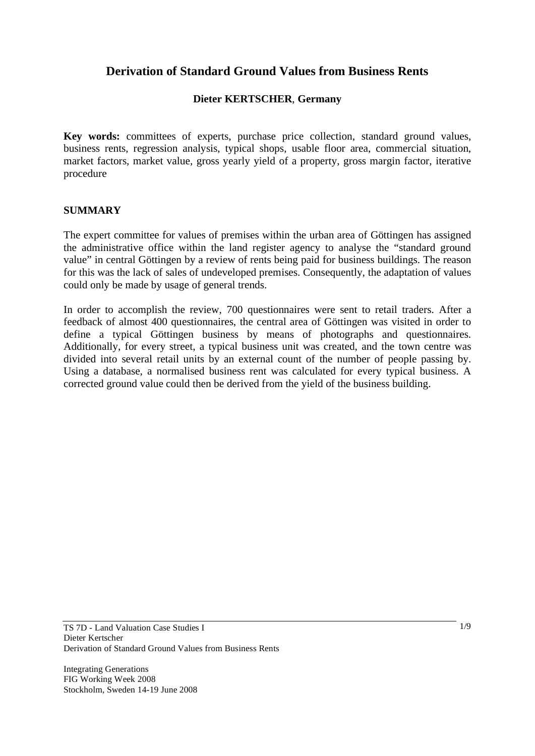# **Derivation of Standard Ground Values from Business Rents**

# **Dieter KERTSCHER**, **Germany**

**Key words:** committees of experts, purchase price collection, standard ground values, business rents, regression analysis, typical shops, usable floor area, commercial situation, market factors, market value, gross yearly yield of a property, gross margin factor, iterative procedure

#### **SUMMARY**

The expert committee for values of premises within the urban area of Göttingen has assigned the administrative office within the land register agency to analyse the "standard ground value" in central Göttingen by a review of rents being paid for business buildings. The reason for this was the lack of sales of undeveloped premises. Consequently, the adaptation of values could only be made by usage of general trends.

In order to accomplish the review, 700 questionnaires were sent to retail traders. After a feedback of almost 400 questionnaires, the central area of Göttingen was visited in order to define a typical Göttingen business by means of photographs and questionnaires. Additionally, for every street, a typical business unit was created, and the town centre was divided into several retail units by an external count of the number of people passing by. Using a database, a normalised business rent was calculated for every typical business. A corrected ground value could then be derived from the yield of the business building.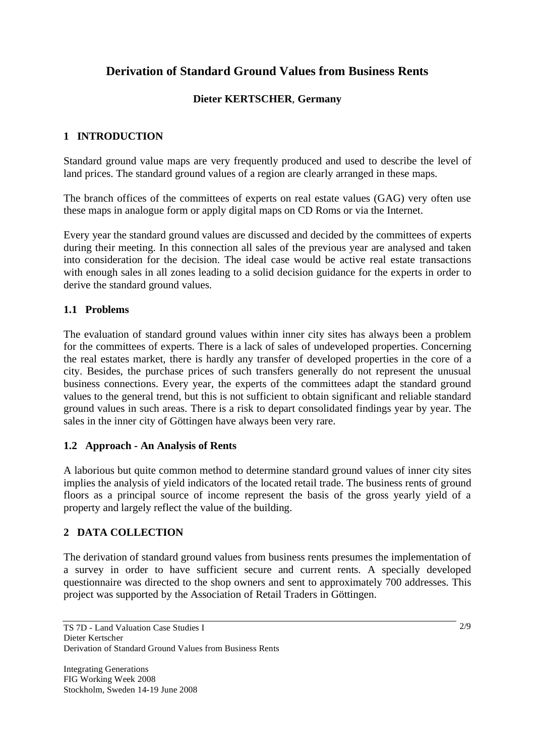# **Derivation of Standard Ground Values from Business Rents**

# **Dieter KERTSCHER**, **Germany**

# **1 INTRODUCTION**

Standard ground value maps are very frequently produced and used to describe the level of land prices. The standard ground values of a region are clearly arranged in these maps.

The branch offices of the committees of experts on real estate values (GAG) very often use these maps in analogue form or apply digital maps on CD Roms or via the Internet.

Every year the standard ground values are discussed and decided by the committees of experts during their meeting. In this connection all sales of the previous year are analysed and taken into consideration for the decision. The ideal case would be active real estate transactions with enough sales in all zones leading to a solid decision guidance for the experts in order to derive the standard ground values.

# **1.1 Problems**

The evaluation of standard ground values within inner city sites has always been a problem for the committees of experts. There is a lack of sales of undeveloped properties. Concerning the real estates market, there is hardly any transfer of developed properties in the core of a city. Besides, the purchase prices of such transfers generally do not represent the unusual business connections. Every year, the experts of the committees adapt the standard ground values to the general trend, but this is not sufficient to obtain significant and reliable standard ground values in such areas. There is a risk to depart consolidated findings year by year. The sales in the inner city of Göttingen have always been very rare.

### **1.2 Approach - An Analysis of Rents**

A laborious but quite common method to determine standard ground values of inner city sites implies the analysis of yield indicators of the located retail trade. The business rents of ground floors as a principal source of income represent the basis of the gross yearly yield of a property and largely reflect the value of the building.

### **2 DATA COLLECTION**

The derivation of standard ground values from business rents presumes the implementation of a survey in order to have sufficient secure and current rents. A specially developed questionnaire was directed to the shop owners and sent to approximately 700 addresses. This project was supported by the Association of Retail Traders in Göttingen.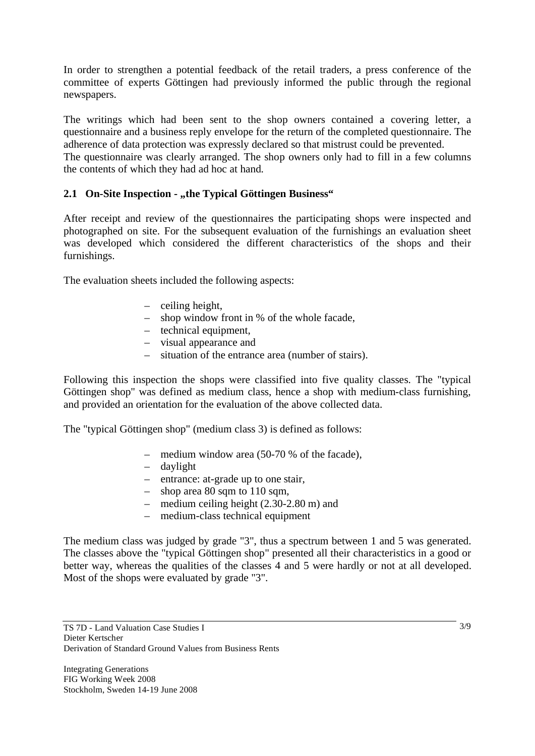In order to strengthen a potential feedback of the retail traders, a press conference of the committee of experts Göttingen had previously informed the public through the regional newspapers.

The writings which had been sent to the shop owners contained a covering letter, a questionnaire and a business reply envelope for the return of the completed questionnaire. The adherence of data protection was expressly declared so that mistrust could be prevented. The questionnaire was clearly arranged. The shop owners only had to fill in a few columns the contents of which they had ad hoc at hand.

### **2.1 On-Site Inspection - "the Typical Göttingen Business"**

After receipt and review of the questionnaires the participating shops were inspected and photographed on site. For the subsequent evaluation of the furnishings an evaluation sheet was developed which considered the different characteristics of the shops and their furnishings.

The evaluation sheets included the following aspects:

- ceiling height,
- shop window front in % of the whole facade,
- technical equipment,
- visual appearance and
- situation of the entrance area (number of stairs).

Following this inspection the shops were classified into five quality classes. The "typical Göttingen shop" was defined as medium class, hence a shop with medium-class furnishing, and provided an orientation for the evaluation of the above collected data.

The "typical Göttingen shop" (medium class 3) is defined as follows:

- medium window area (50-70 % of the facade),
- daylight
- entrance: at-grade up to one stair,
- shop area 80 sqm to 110 sqm,
- medium ceiling height (2.30-2.80 m) and
- medium-class technical equipment

The medium class was judged by grade "3", thus a spectrum between 1 and 5 was generated. The classes above the "typical Göttingen shop" presented all their characteristics in a good or better way, whereas the qualities of the classes 4 and 5 were hardly or not at all developed. Most of the shops were evaluated by grade "3".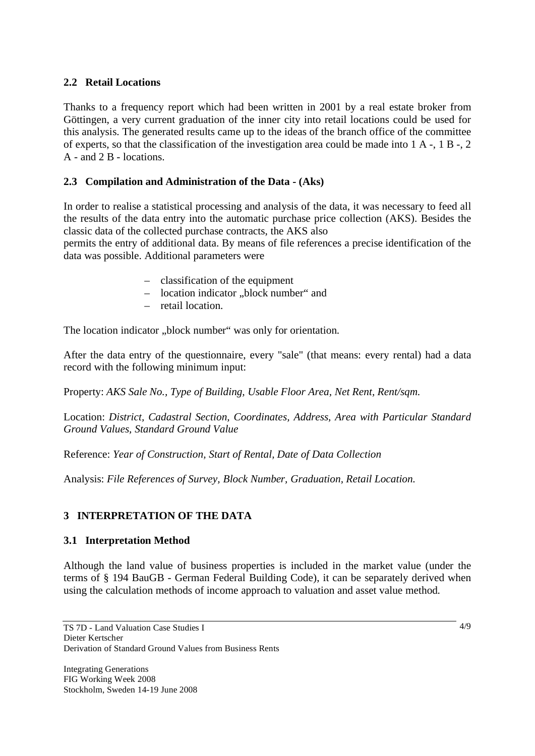### **2.2 Retail Locations**

Thanks to a frequency report which had been written in 2001 by a real estate broker from Göttingen, a very current graduation of the inner city into retail locations could be used for this analysis. The generated results came up to the ideas of the branch office of the committee of experts, so that the classification of the investigation area could be made into 1 A -, 1 B -, 2 A - and 2 B - locations.

## **2.3 Compilation and Administration of the Data - (Aks)**

In order to realise a statistical processing and analysis of the data, it was necessary to feed all the results of the data entry into the automatic purchase price collection (AKS). Besides the classic data of the collected purchase contracts, the AKS also

permits the entry of additional data. By means of file references a precise identification of the data was possible. Additional parameters were

- classification of the equipment
- location indicator "block number" and
- retail location.

The location indicator "block number" was only for orientation.

After the data entry of the questionnaire, every "sale" (that means: every rental) had a data record with the following minimum input:

Property: *AKS Sale No., Type of Building, Usable Floor Area, Net Rent, Rent/sqm.* 

Location: *District, Cadastral Section, Coordinates, Address, Area with Particular Standard Ground Values, Standard Ground Value* 

Reference: *Year of Construction, Start of Rental, Date of Data Collection*

Analysis: *File References of Survey, Block Number, Graduation, Retail Location.* 

### **3 INTERPRETATION OF THE DATA**

### **3.1 Interpretation Method**

Although the land value of business properties is included in the market value (under the terms of § 194 BauGB - German Federal Building Code), it can be separately derived when using the calculation methods of income approach to valuation and asset value method.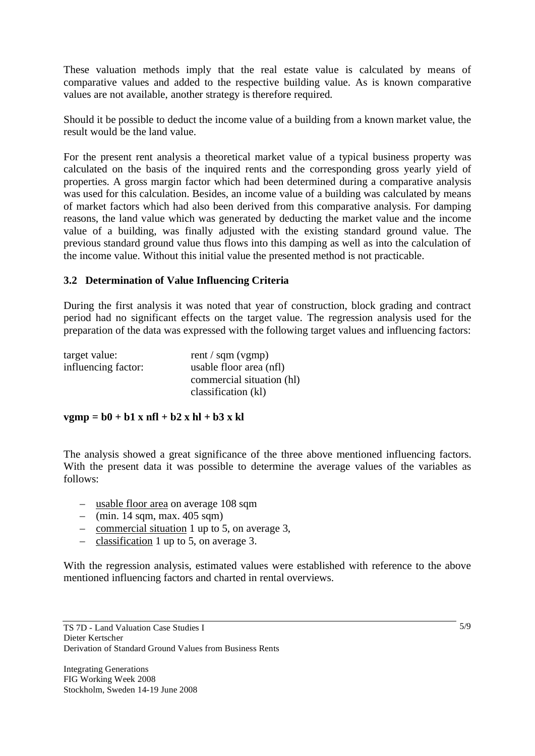These valuation methods imply that the real estate value is calculated by means of comparative values and added to the respective building value. As is known comparative values are not available, another strategy is therefore required.

Should it be possible to deduct the income value of a building from a known market value, the result would be the land value.

For the present rent analysis a theoretical market value of a typical business property was calculated on the basis of the inquired rents and the corresponding gross yearly yield of properties. A gross margin factor which had been determined during a comparative analysis was used for this calculation. Besides, an income value of a building was calculated by means of market factors which had also been derived from this comparative analysis. For damping reasons, the land value which was generated by deducting the market value and the income value of a building, was finally adjusted with the existing standard ground value. The previous standard ground value thus flows into this damping as well as into the calculation of the income value. Without this initial value the presented method is not practicable.

### **3.2 Determination of Value Influencing Criteria**

During the first analysis it was noted that year of construction, block grading and contract period had no significant effects on the target value. The regression analysis used for the preparation of the data was expressed with the following target values and influencing factors:

| target value:       | rent / sqm (vgmp)         |
|---------------------|---------------------------|
| influencing factor: | usable floor area (nfl)   |
|                     | commercial situation (hl) |
|                     | classification (kl)       |

#### $vgmp = b0 + b1 x nfl + b2 x hl + b3 x kl$

The analysis showed a great significance of the three above mentioned influencing factors. With the present data it was possible to determine the average values of the variables as follows:

- usable floor area on average 108 sqm
- $-$  (min. 14 sqm, max. 405 sqm)
- commercial situation 1 up to 5, on average 3,
- classification 1 up to 5, on average 3.

With the regression analysis, estimated values were established with reference to the above mentioned influencing factors and charted in rental overviews.

5/9

TS 7D - Land Valuation Case Studies I Dieter Kertscher Derivation of Standard Ground Values from Business Rents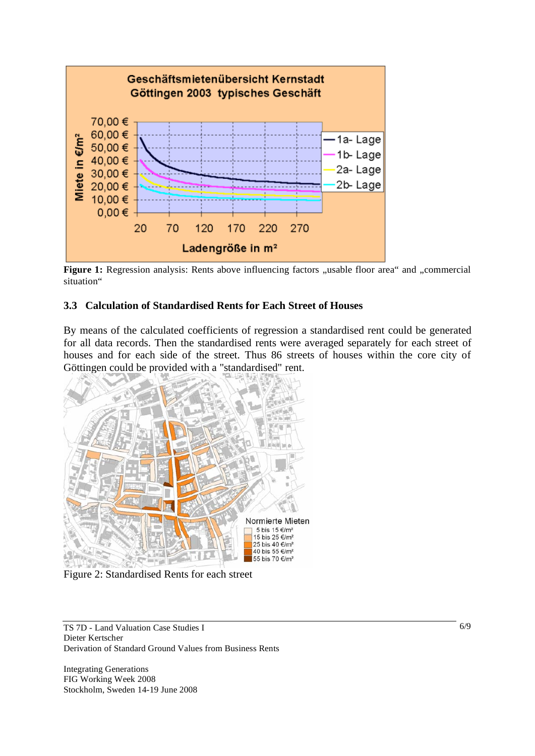

Figure 1: Regression analysis: Rents above influencing factors "usable floor area" and "commercial situation"

### **3.3 Calculation of Standardised Rents for Each Street of Houses**

By means of the calculated coefficients of regression a standardised rent could be generated for all data records. Then the standardised rents were averaged separately for each street of houses and for each side of the street. Thus 86 streets of houses within the core city of Göttingen could be provided with a "standardised" rent.



Figure 2: Standardised Rents for each street

TS 7D - Land Valuation Case Studies I Dieter Kertscher Derivation of Standard Ground Values from Business Rents

Integrating Generations FIG Working Week 2008 Stockholm, Sweden 14-19 June 2008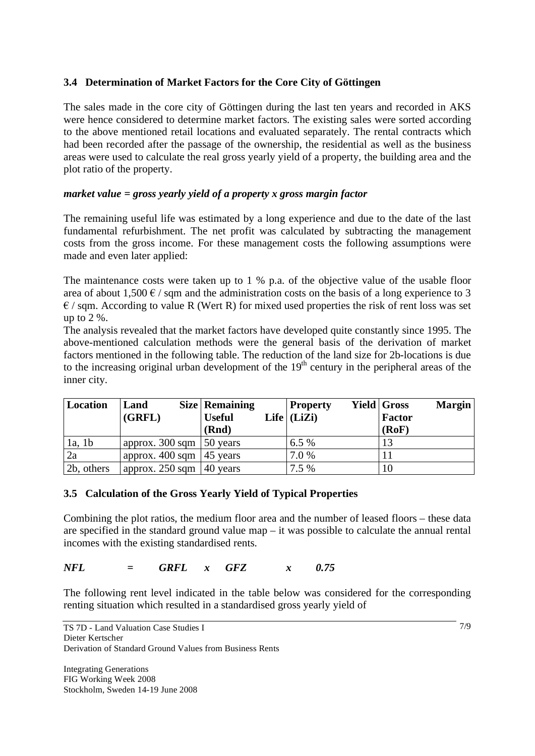# **3.4 Determination of Market Factors for the Core City of Göttingen**

The sales made in the core city of Göttingen during the last ten years and recorded in AKS were hence considered to determine market factors. The existing sales were sorted according to the above mentioned retail locations and evaluated separately. The rental contracts which had been recorded after the passage of the ownership, the residential as well as the business areas were used to calculate the real gross yearly yield of a property, the building area and the plot ratio of the property.

### *market value = gross yearly yield of a property x gross margin factor*

The remaining useful life was estimated by a long experience and due to the date of the last fundamental refurbishment. The net profit was calculated by subtracting the management costs from the gross income. For these management costs the following assumptions were made and even later applied:

The maintenance costs were taken up to 1 % p.a. of the objective value of the usable floor area of about 1,500  $\epsilon$  / sqm and the administration costs on the basis of a long experience to 3  $\epsilon$  / sqm. According to value R (Wert R) for mixed used properties the risk of rent loss was set up to 2 %.

The analysis revealed that the market factors have developed quite constantly since 1995. The above-mentioned calculation methods were the general basis of the derivation of market factors mentioned in the following table. The reduction of the land size for 2b-locations is due to the increasing original urban development of the  $19<sup>th</sup>$  century in the peripheral areas of the inner city.

| Location   | Land<br>(GRFL)                       | <b>Size Remaining</b><br><b>Useful</b><br>(Rnd) | <b>Property</b><br>Life $ $ (LiZi) | <b>Yield Gross</b><br><b>Margin</b><br>Factor<br>(RoF) |
|------------|--------------------------------------|-------------------------------------------------|------------------------------------|--------------------------------------------------------|
| 1a, 1b     | approx. 300 sqm $\vert$ 50 years     |                                                 | 6.5%                               | 13                                                     |
| 2a         | approx. 400 sqm $ 45$ years          |                                                 | 7.0 %                              |                                                        |
| 2b, others | approx. 250 sqm $ 40 \text{ years} $ |                                                 | 7.5 %                              |                                                        |

### **3.5 Calculation of the Gross Yearly Yield of Typical Properties**

Combining the plot ratios, the medium floor area and the number of leased floors – these data are specified in the standard ground value map – it was possible to calculate the annual rental incomes with the existing standardised rents.

### *NFL = GRFL x GFZ x 0.75*

The following rent level indicated in the table below was considered for the corresponding renting situation which resulted in a standardised gross yearly yield of

7/9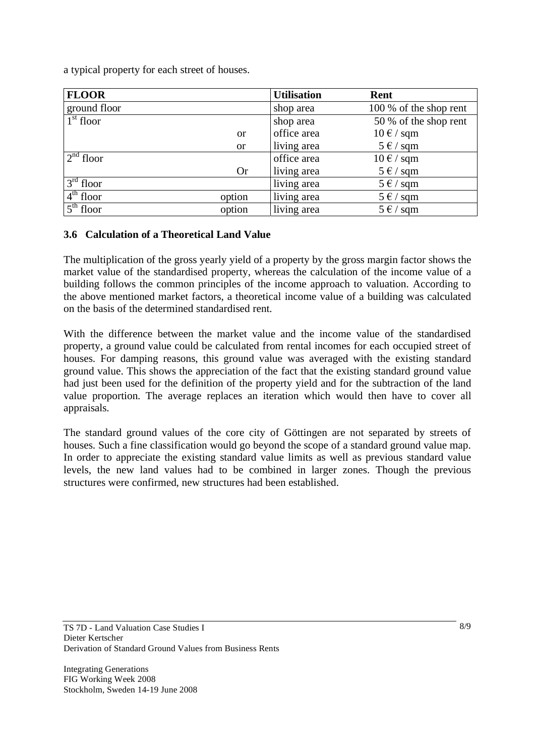a typical property for each street of houses.

| <b>FLOOR</b>          |           | <b>Utilisation</b> | Rent                             |
|-----------------------|-----------|--------------------|----------------------------------|
| ground floor          |           | shop area          | 100 % of the shop rent           |
| $1st$ floor           |           | shop area          | 50 % of the shop rent            |
|                       | <b>or</b> | office area        | $10 \text{ } \in / \text{ }$ sqm |
|                       | <b>or</b> | living area        | $5 \in / \text{sgm}$             |
| $\sqrt{2^{nd}}$ floor |           | office area        | $10 \text{ }\epsilon$ / sqm      |
|                       | <b>Or</b> | living area        | $5 \in / \text{sgm}$             |
| $3rd$ floor           |           | living area        | $5 \in / \text{sqm}$             |
| $4th$ floor           | option    | living area        | $5 \in / \text{sgm}$             |
| $5th$ floor           | option    | living area        | $5 \in / \text{sqm}$             |

# **3.6 Calculation of a Theoretical Land Value**

The multiplication of the gross yearly yield of a property by the gross margin factor shows the market value of the standardised property, whereas the calculation of the income value of a building follows the common principles of the income approach to valuation. According to the above mentioned market factors, a theoretical income value of a building was calculated on the basis of the determined standardised rent.

With the difference between the market value and the income value of the standardised property, a ground value could be calculated from rental incomes for each occupied street of houses. For damping reasons, this ground value was averaged with the existing standard ground value. This shows the appreciation of the fact that the existing standard ground value had just been used for the definition of the property yield and for the subtraction of the land value proportion. The average replaces an iteration which would then have to cover all appraisals.

The standard ground values of the core city of Göttingen are not separated by streets of houses. Such a fine classification would go beyond the scope of a standard ground value map. In order to appreciate the existing standard value limits as well as previous standard value levels, the new land values had to be combined in larger zones. Though the previous structures were confirmed, new structures had been established.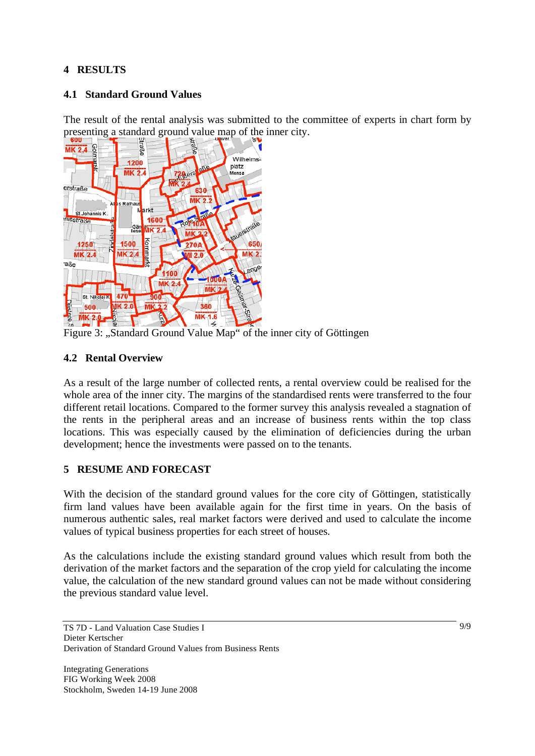# **4 RESULTS**

### **4.1 Standard Ground Values**

The result of the rental analysis was submitted to the committee of experts in chart form by



Figure 3: "Standard Ground Value Map" of the inner city of Göttingen

### **4.2 Rental Overview**

As a result of the large number of collected rents, a rental overview could be realised for the whole area of the inner city. The margins of the standardised rents were transferred to the four different retail locations. Compared to the former survey this analysis revealed a stagnation of the rents in the peripheral areas and an increase of business rents within the top class locations. This was especially caused by the elimination of deficiencies during the urban development; hence the investments were passed on to the tenants.

### **5 RESUME AND FORECAST**

With the decision of the standard ground values for the core city of Göttingen, statistically firm land values have been available again for the first time in years. On the basis of numerous authentic sales, real market factors were derived and used to calculate the income values of typical business properties for each street of houses.

As the calculations include the existing standard ground values which result from both the derivation of the market factors and the separation of the crop yield for calculating the income value, the calculation of the new standard ground values can not be made without considering the previous standard value level.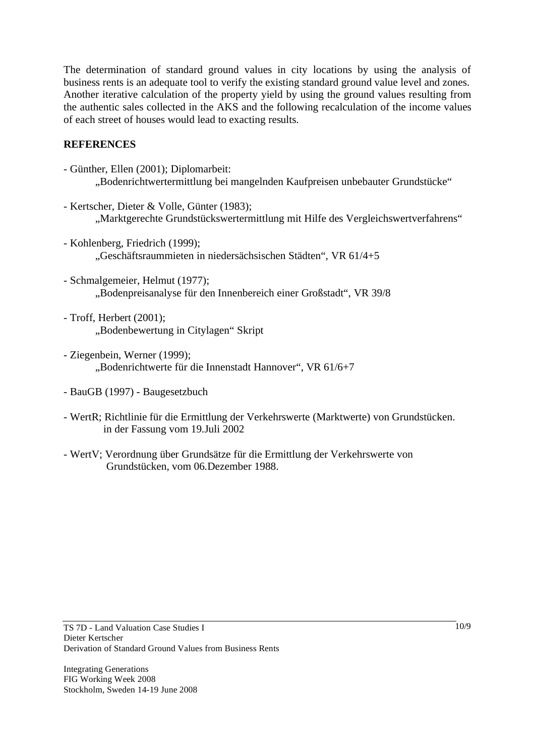The determination of standard ground values in city locations by using the analysis of business rents is an adequate tool to verify the existing standard ground value level and zones. Another iterative calculation of the property yield by using the ground values resulting from the authentic sales collected in the AKS and the following recalculation of the income values of each street of houses would lead to exacting results.

### **REFERENCES**

- Günther, Ellen (2001); Diplomarbeit: "Bodenrichtwertermittlung bei mangelnden Kaufpreisen unbebauter Grundstücke"
- Kertscher, Dieter & Volle, Günter (1983); "Marktgerechte Grundstückswertermittlung mit Hilfe des Vergleichswertverfahrens"
- Kohlenberg, Friedrich (1999); "Geschäftsraummieten in niedersächsischen Städten", VR 61/4+5
- Schmalgemeier, Helmut (1977); "Bodenpreisanalyse für den Innenbereich einer Großstadt", VR 39/8
- Troff, Herbert (2001); "Bodenbewertung in Citylagen" Skript
- Ziegenbein, Werner (1999); "Bodenrichtwerte für die Innenstadt Hannover", VR 61/6+7
- BauGB (1997) Baugesetzbuch
- WertR; Richtlinie für die Ermittlung der Verkehrswerte (Marktwerte) von Grundstücken. in der Fassung vom 19.Juli 2002
- WertV; Verordnung über Grundsätze für die Ermittlung der Verkehrswerte von Grundstücken, vom 06.Dezember 1988.